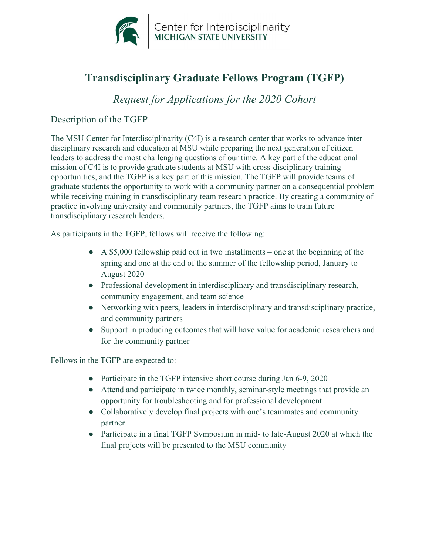

# **Transdisciplinary Graduate Fellows Program (TGFP)**

 *Request for Applications for the 2020 Cohort* 

### Description of the TGFP

The MSU Center for Interdisciplinarity (C4I) is a research center that works to advance interdisciplinary research and education at MSU while preparing the next generation of citizen leaders to address the most challenging questions of our time. A key part of the educational mission of C4I is to provide graduate students at MSU with cross-disciplinary training opportunities, and the TGFP is a key part of this mission. The TGFP will provide teams of graduate students the opportunity to work with a community partner on a consequential problem while receiving training in transdisciplinary team research practice. By creating a community of practice involving university and community partners, the TGFP aims to train future transdisciplinary research leaders.

As participants in the TGFP, fellows will receive the following:

- $\bullet$  A \$5,000 fellowship paid out in two installments one at the beginning of the spring and one at the end of the summer of the fellowship period, January to August 2020
- Professional development in interdisciplinary and transdisciplinary research, community engagement, and team science
- Networking with peers, leaders in interdisciplinary and transdisciplinary practice, and community partners
- Support in producing outcomes that will have value for academic researchers and for the community partner

Fellows in the TGFP are expected to:

- Participate in the TGFP intensive short course during Jan 6-9, 2020
- Attend and participate in twice monthly, seminar-style meetings that provide an opportunity for troubleshooting and for professional development
- Collaboratively develop final projects with one's teammates and community partner
- Participate in a final TGFP Symposium in mid- to late-August 2020 at which the final projects will be presented to the MSU community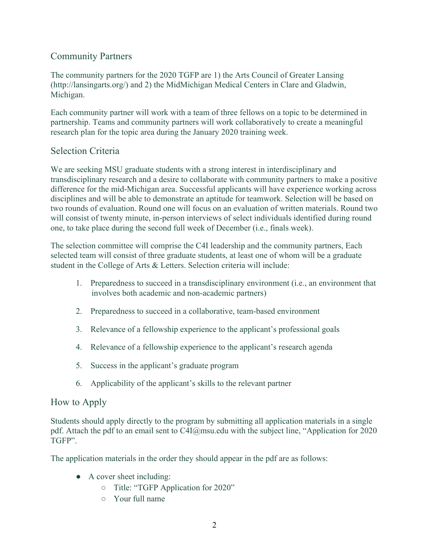## Community Partners

 The community partners for the 2020 TGFP are 1) the Arts Council of Greater Lansing [\(http://lansingarts.org/](http://lansingarts.org)) and 2) the MidMichigan Medical Centers in Clare and Gladwin, Michigan.

Each community partner will work with a team of three fellows on a topic to be determined in partnership. Teams and community partners will work collaboratively to create a meaningful research plan for the topic area during the January 2020 training week.

## Selection Criteria

 will consist of twenty minute, in-person interviews of select individuals identified during round one, to take place during the second full week of December (i.e., finals week). We are seeking MSU graduate students with a strong interest in interdisciplinary and transdisciplinary research and a desire to collaborate with community partners to make a positive difference for the mid-Michigan area. Successful applicants will have experience working across disciplines and will be able to demonstrate an aptitude for teamwork. Selection will be based on two rounds of evaluation. Round one will focus on an evaluation of written materials. Round two

The selection committee will comprise the C4I leadership and the community partners, Each selected team will consist of three graduate students, at least one of whom will be a graduate student in the College of Arts & Letters. Selection criteria will include:

- involves both academic and non-academic partners) 1. Preparedness to succeed in a transdisciplinary environment (i.e., an environment that
- 2. Preparedness to succeed in a collaborative, team-based environment
- 3. Relevance of a fellowship experience to the applicant's professional goals
- 4. Relevance of a fellowship experience to the applicant's research agenda
- 5. Success in the applicant's graduate program
- 6. Applicability of the applicant's skills to the relevant partner

## How to Apply

Students should apply directly to the program by submitting all application materials in a single pdf. Attach the pdf to an email sent to [C4I@msu.edu](mailto:C4I@msu.edu) with the subject line, "Application for 2020 TGFP".

The application materials in the order they should appear in the pdf are as follows:

- A cover sheet including:
	- Title: "TGFP Application for 2020"
	- Your full name